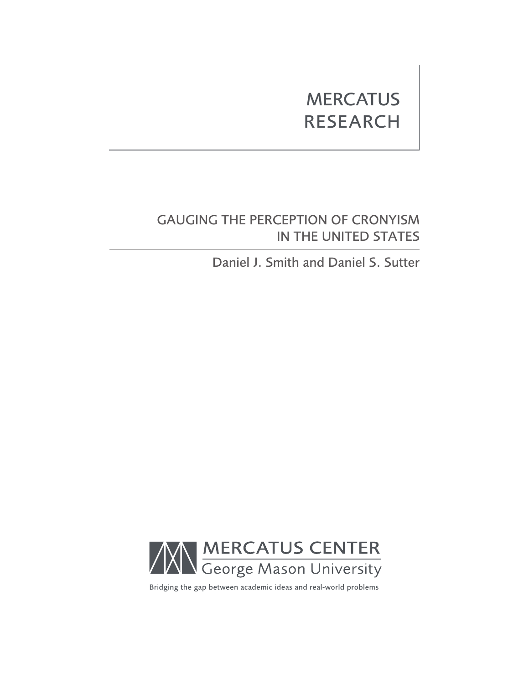# **MERCATUS** RESEARCH

# GAUGING THE PERCEPTION OF CRONYISM IN THE UNITED STATES

Daniel J. Smith and Daniel S. Sutter



Bridging the gap between academic ideas and real-world problems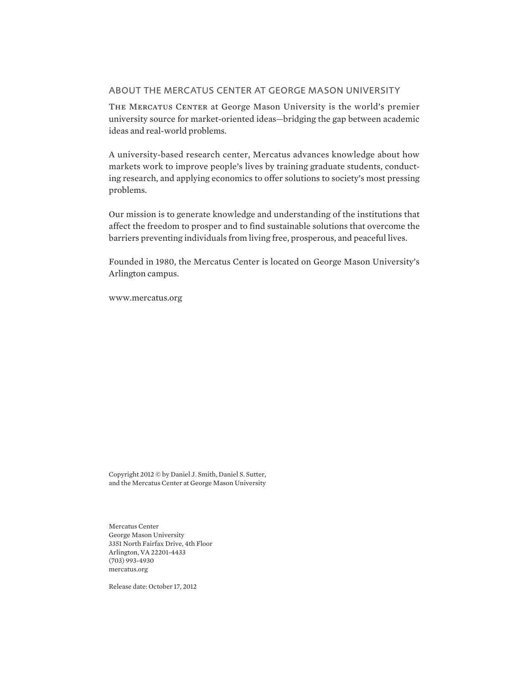### ABOUT THE MERCATUS CENTER AT GEORGE MASON UNIVERSITY

The Mercatus Center at George Mason University is the world's premier university source for market-oriented ideas—bridging the gap between academic ideas and real-world problems.

A university-based research center, Mercatus advances knowledge about how markets work to improve people's lives by training graduate students, conducting research, and applying economics to offer solutions to society's most pressing problems.

Our mission is to generate knowledge and understanding of the institutions that affect the freedom to prosper and to find sustainable solutions that overcome the barriers preventing individuals from living free, prosperous, and peaceful lives.

Founded in 1980, the Mercatus Center is located on George Mason University's Arlington campus.

www.mercatus.org

Copyright 2012 © by Daniel J. Smith, Daniel S. Sutter, and the Mercatus Center at George Mason University

Mercatus Center George Mason University 3351 North Fairfax Drive, 4th Floor Arlington, VA 22201-4433 (703) 993-4930 mercatus.org

Release date: October 17, 2012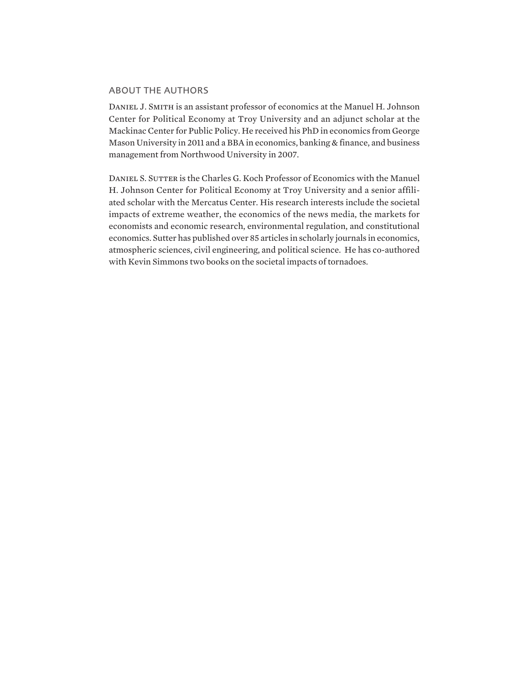### ABOUT THE AUTHORS

Daniel J. Smith is an assistant professor of economics at the Manuel H. Johnson Center for Political Economy at Troy University and an adjunct scholar at the Mackinac Center for Public Policy. He received his PhD in economics from George Mason University in 2011 and a BBA in economics, banking & finance, and business management from Northwood University in 2007.

DANIEL S. SUTTER is the Charles G. Koch Professor of Economics with the Manuel H. Johnson Center for Political Economy at Troy University and a senior affiliated scholar with the Mercatus Center. His research interests include the societal impacts of extreme weather, the economics of the news media, the markets for economists and economic research, environmental regulation, and constitutional economics. Sutter has published over 85 articles in scholarly journals in economics, atmospheric sciences, civil engineering, and political science. He has co-authored with Kevin Simmons two books on the societal impacts of tornadoes.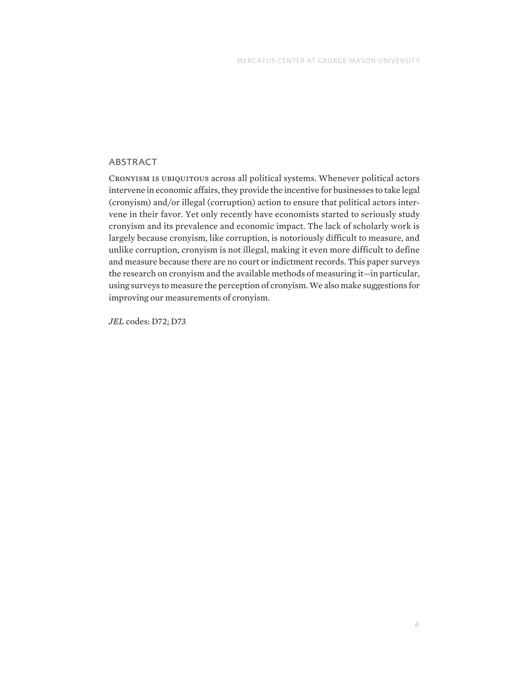# ABSTRACT

Cronyism is ubiquitous across all political systems. Whenever political actors intervene in economic affairs, they provide the incentive for businesses to take legal (cronyism) and/or illegal (corruption) action to ensure that political actors intervene in their favor. Yet only recently have economists started to seriously study cronyism and its prevalence and economic impact. The lack of scholarly work is largely because cronyism, like corruption, is notoriously difficult to measure, and unlike corruption, cronyism is not illegal, making it even more difficult to define and measure because there are no court or indictment records. This paper surveys the research on cronyism and the available methods of measuring it—in particular, using surveys to measure the perception of cronyism. We also make suggestions for improving our measurements of cronyism.

*JEL* codes: D72; D73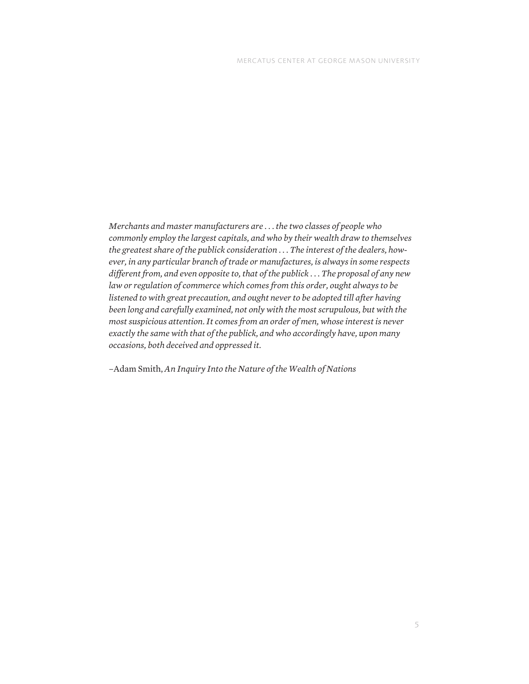*Merchants and master manufacturers are . . . the two classes of people who commonly employ the largest capitals, and who by their wealth draw to themselves the greatest share of the publick consideration . . . The interest of the dealers, however, in any particular branch of trade or manufactures, is always in some respects different from, and even opposite to, that of the publick . . . The proposal of any new law or regulation of commerce which comes from this order, ought always to be listened to with great precaution, and ought never to be adopted till after having been long and carefully examined, not only with the most scrupulous, but with the most suspicious attention. It comes from an order of men, whose interest is never exactly the same with that of the publick, and who accordingly have, upon many occasions, both deceived and oppressed it.*

–Adam Smith, *An Inquiry Into the Nature of the Wealth of Nations*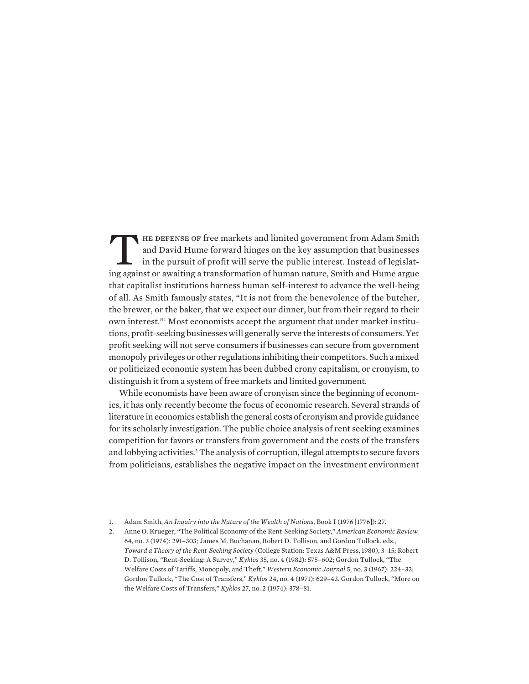The DEFENSE OF free markets and limited government from Adam Smith and David Hume forward hinges on the key assumption that businesses in the pursuit of profit will serve the public interest. Instead of legislating against or awaiting a transformation of human nature, Smith and Hume argue that capitalist institutions harness human self-interest to advance the well-being of all. As Smith famously states, "It is not from the benevolence of the butcher, the brewer, or the baker, that we expect our dinner, but from their regard to their own interest."1 Most economists accept the argument that under market institutions, profit-seeking businesses will generally serve the interests of consumers. Yet profit seeking will not serve consumers if businesses can secure from government monopoly privileges or other regulations inhibiting their competitors. Such a mixed or politicized economic system has been dubbed crony capitalism, or cronyism, to distinguish it from a system of free markets and limited government.

While economists have been aware of cronyism since the beginning of economics, it has only recently become the focus of economic research. Several strands of literature in economics establish the general costs of cronyism and provide guidance for its scholarly investigation. The public choice analysis of rent seeking examines competition for favors or transfers from government and the costs of the transfers and lobbying activities.<sup>2</sup> The analysis of corruption, illegal attempts to secure favors from politicians, establishes the negative impact on the investment environment

<sup>1.</sup> Adam Smith, *An Inquiry into the Nature of the Wealth of Nations*, Book I (1976 [1776]): 27.

<sup>2.</sup> Anne O. Krueger, "The Political Economy of the Rent-Seeking Society," *American Economic Review*  64, no. 3 (1974): 291–303; James M. Buchanan, Robert D. Tollison, and Gordon Tullock. eds., *Toward a Theory of the Rent-Seeking Society* (College Station: Texas A&M Press, 1980), 3–15; Robert D. Tollison, "Rent-Seeking: A Survey," *Kyklos* 35, no. 4 (1982): 575–602; Gordon Tullock, "The Welfare Costs of Tariffs, Monopoly, and Theft," *Western Economic Journal* 5, no. 3 (1967): 224–32; Gordon Tullock, "The Cost of Transfers," *Kyklos* 24, no. 4 (1971): 629–43. Gordon Tullock, "More on the Welfare Costs of Transfers," *Kyklos* 27, no. 2 (1974): 378–81.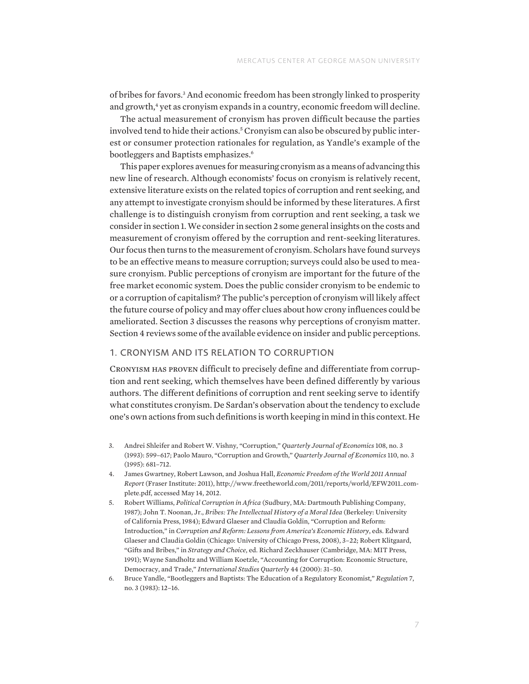of bribes for favors.<sup>3</sup> And economic freedom has been strongly linked to prosperity and growth,<sup>4</sup> yet as cronyism expands in a country, economic freedom will decline.

The actual measurement of cronyism has proven difficult because the parties involved tend to hide their actions.<sup>5</sup> Cronyism can also be obscured by public interest or consumer protection rationales for regulation, as Yandle's example of the bootleggers and Baptists emphasizes.<sup>6</sup>

This paper explores avenues for measuring cronyism as a means of advancing this new line of research. Although economists' focus on cronyism is relatively recent, extensive literature exists on the related topics of corruption and rent seeking, and any attempt to investigate cronyism should be informed by these literatures. A first challenge is to distinguish cronyism from corruption and rent seeking, a task we consider in section 1. We consider in section 2 some general insights on the costs and measurement of cronyism offered by the corruption and rent-seeking literatures. Our focus then turns to the measurement of cronyism. Scholars have found surveys to be an effective means to measure corruption; surveys could also be used to measure cronyism. Public perceptions of cronyism are important for the future of the free market economic system. Does the public consider cronyism to be endemic to or a corruption of capitalism? The public's perception of cronyism will likely affect the future course of policy and may offer clues about how crony influences could be ameliorated. Section 3 discusses the reasons why perceptions of cronyism matter. Section 4 reviews some of the available evidence on insider and public perceptions.

# 1. CRONYISM AND ITS RELATION TO CORRUPTION

Cronyism has proven difficult to precisely define and differentiate from corruption and rent seeking, which themselves have been defined differently by various authors. The different definitions of corruption and rent seeking serve to identify what constitutes cronyism. De Sardan's observation about the tendency to exclude one's own actions from such definitions is worth keeping in mind in this context. He

- 3. Andrei Shleifer and Robert W. Vishny, "Corruption," *Quarterly Journal of Economics* 108, no. 3 (1993): 599–617; Paolo Mauro, "Corruption and Growth," *Quarterly Journal of Economics* 110, no. 3 (1995): 681–712.
- 4. James Gwartney, Robert Lawson, and Joshua Hall, *Economic Freedom of the World 2011 Annual Report* (Fraser Institute: 2011), http://www.freetheworld.com/2011/reports/world/EFW2011\_complete.pdf, accessed May 14, 2012.
- 5. Robert Williams, *Political Corruption in Africa* (Sudbury, MA: Dartmouth Publishing Company, 1987); John T. Noonan, Jr., *Bribes: The Intellectual History of a Moral Idea* (Berkeley: University of California Press, 1984); Edward Glaeser and Claudia Goldin, "Corruption and Reform: Introduction," in *Corruption and Reform: Lessons from America's Economic History*, eds. Edward Glaeser and Claudia Goldin (Chicago: University of Chicago Press, 2008), 3–22; Robert Klitgaard, "Gifts and Bribes," in *Strategy and Choice*, ed. Richard Zeckhauser (Cambridge, MA: MIT Press, 1991); Wayne Sandholtz and William Koetzle, "Accounting for Corruption: Economic Structure, Democracy, and Trade," *International Studies Quarterly* 44 (2000): 31–50.
- 6. Bruce Yandle, "Bootleggers and Baptists: The Education of a Regulatory Economist," *Regulation* 7, no. 3 (1983): 12–16.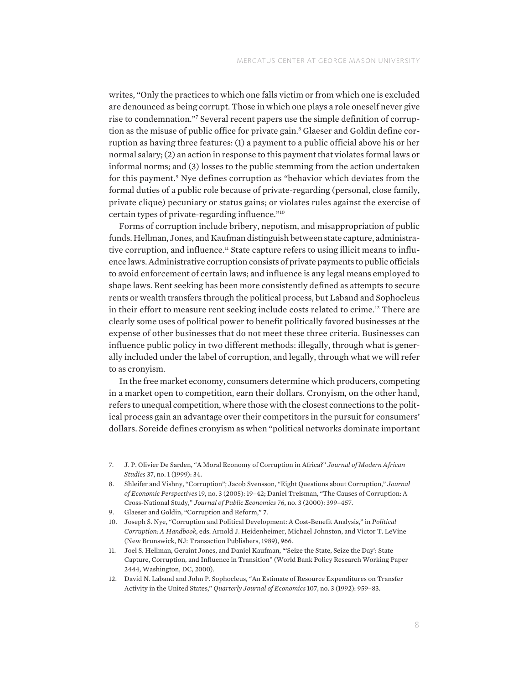writes, "Only the practices to which one falls victim or from which one is excluded are denounced as being corrupt. Those in which one plays a role oneself never give rise to condemnation."7 Several recent papers use the simple definition of corruption as the misuse of public office for private gain.<sup>8</sup> Glaeser and Goldin define corruption as having three features: (1) a payment to a public official above his or her normal salary; (2) an action in response to this payment that violates formal laws or informal norms; and (3) losses to the public stemming from the action undertaken for this payment.<sup>9</sup> Nye defines corruption as "behavior which deviates from the formal duties of a public role because of private-regarding (personal, close family, private clique) pecuniary or status gains; or violates rules against the exercise of certain types of private-regarding influence."10

Forms of corruption include bribery, nepotism, and misappropriation of public funds. Hellman, Jones, and Kaufman distinguish between state capture, administrative corruption, and influence.<sup>11</sup> State capture refers to using illicit means to influence laws. Administrative corruption consists of private payments to public officials to avoid enforcement of certain laws; and influence is any legal means employed to shape laws. Rent seeking has been more consistently defined as attempts to secure rents or wealth transfers through the political process, but Laband and Sophocleus in their effort to measure rent seeking include costs related to crime.<sup>12</sup> There are clearly some uses of political power to benefit politically favored businesses at the expense of other businesses that do not meet these three criteria. Businesses can influence public policy in two different methods: illegally, through what is generally included under the label of corruption, and legally, through what we will refer to as cronyism.

In the free market economy, consumers determine which producers, competing in a market open to competition, earn their dollars. Cronyism, on the other hand, refers to unequal competition, where those with the closest connections to the political process gain an advantage over their competitors in the pursuit for consumers' dollars. Soreide defines cronyism as when "political networks dominate important

- 7. J. P. Olivier De Sarden, "A Moral Economy of Corruption in Africa?" *Journal of Modern African Studies* 37, no. 1 (1999): 34.
- 8. Shleifer and Vishny, "Corruption"; Jacob Svensson, "Eight Questions about Corruption," *Journal of Economic Perspectives* 19, no. 3 (2005): 19–42; Daniel Treisman, "The Causes of Corruption: A Cross-National Study," *Journal of Public Economics* 76, no. 3 (2000): 399–457.
- 9. Glaeser and Goldin, "Corruption and Reform," 7.
- 10. Joseph S. Nye, "Corruption and Political Development: A Cost-Benefit Analysis," in *Political Corruption: A Handbook,* eds. Arnold J. Heidenheimer, Michael Johnston, and Victor T. LeVine (New Brunswick, NJ: Transaction Publishers, 1989), 966.
- 11. Joel S. Hellman, Geraint Jones, and Daniel Kaufman, "'Seize the State, Seize the Day': State Capture, Corruption, and Influence in Transition" (World Bank Policy Research Working Paper 2444, Washington, DC, 2000).
- 12. David N. Laband and John P. Sophocleus, "An Estimate of Resource Expenditures on Transfer Activity in the United States," *Quarterly Journal of Economics* 107, no. 3 (1992): 959–83.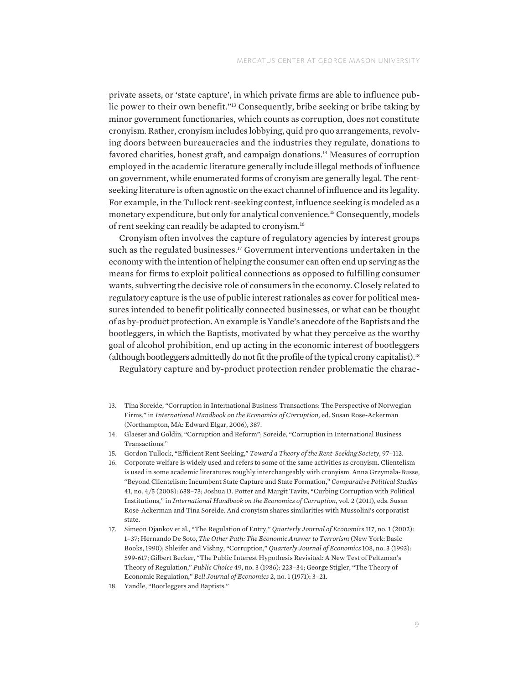private assets, or 'state capture', in which private firms are able to influence public power to their own benefit."13 Consequently, bribe seeking or bribe taking by minor government functionaries, which counts as corruption, does not constitute cronyism. Rather, cronyism includes lobbying, quid pro quo arrangements, revolving doors between bureaucracies and the industries they regulate, donations to favored charities, honest graft, and campaign donations.14 Measures of corruption employed in the academic literature generally include illegal methods of influence on government, while enumerated forms of cronyism are generally legal. The rentseeking literature is often agnostic on the exact channel of influence and its legality. For example, in the Tullock rent-seeking contest, influence seeking is modeled as a monetary expenditure, but only for analytical convenience.15 Consequently, models of rent seeking can readily be adapted to cronyism.<sup>16</sup>

Cronyism often involves the capture of regulatory agencies by interest groups such as the regulated businesses.<sup>17</sup> Government interventions undertaken in the economy with the intention of helping the consumer can often end up serving as the means for firms to exploit political connections as opposed to fulfilling consumer wants, subverting the decisive role of consumers in the economy. Closely related to regulatory capture is the use of public interest rationales as cover for political measures intended to benefit politically connected businesses, or what can be thought of as by-product protection. An example is Yandle's anecdote of the Baptists and the bootleggers, in which the Baptists, motivated by what they perceive as the worthy goal of alcohol prohibition, end up acting in the economic interest of bootleggers (although bootleggers admittedly do not fit the profile of the typical crony capitalist).18

Regulatory capture and by-product protection render problematic the charac-

- 13. Tina Soreide, "Corruption in International Business Transactions: The Perspective of Norwegian Firms," in *International Handbook on the Economics of Corruption,* ed. Susan Rose-Ackerman (Northampton, MA: Edward Elgar, 2006), 387.
- 14. Glaeser and Goldin, "Corruption and Reform"; Soreide, "Corruption in International Business Transactions."
- 15. Gordon Tullock, "Efficient Rent Seeking," *Toward a Theory of the Rent-Seeking Society*, 97–112.
- 16. Corporate welfare is widely used and refers to some of the same activities as cronyism. Clientelism is used in some academic literatures roughly interchangeably with cronyism. Anna Grzymala-Busse, "Beyond Clientelism: Incumbent State Capture and State Formation," *Comparative Political Studies*  41, no. 4/5 (2008): 638–73; Joshua D. Potter and Margit Tavits, "Curbing Corruption with Political Institutions," in *International Handbook on the Economics of Corruption*, vol. 2 (2011), eds. Susan Rose-Ackerman and Tina Soreide. And cronyism shares similarities with Mussolini's corporatist state.
- 17. Simeon Djankov et al., "The Regulation of Entry," *Quarterly Journal of Economics* 117, no. 1 (2002): 1–37; Hernando De Soto, *The Other Path: The Economic Answer to Terrorism* (New York: Basic Books, 1990); Shleifer and Vishny, "Corruption," *Quarterly Journal of Economics* 108, no. 3 (1993): 599-617; Gilbert Becker, "The Public Interest Hypothesis Revisited: A New Test of Peltzman's Theory of Regulation," *Public Choice* 49, no. 3 (1986): 223–34; George Stigler, "The Theory of Economic Regulation," *Bell Journal of Economics* 2, no. 1 (1971): 3–21.
- 18. Yandle, "Bootleggers and Baptists."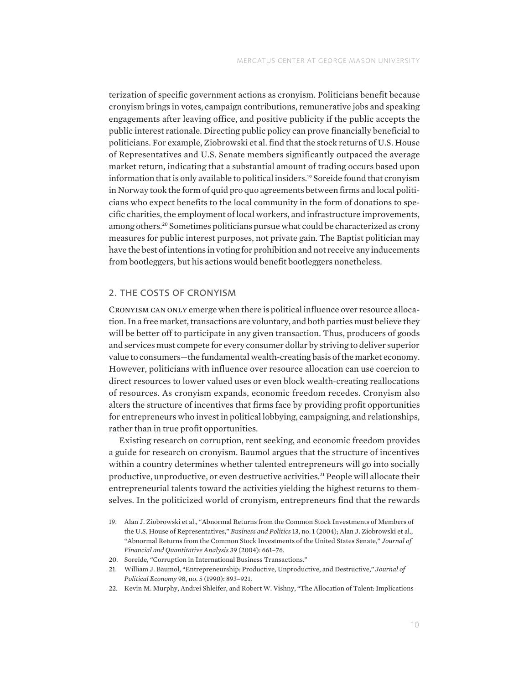terization of specific government actions as cronyism. Politicians benefit because cronyism brings in votes, campaign contributions, remunerative jobs and speaking engagements after leaving office, and positive publicity if the public accepts the public interest rationale. Directing public policy can prove financially beneficial to politicians. For example, Ziobrowski et al. find that the stock returns of U.S. House of Representatives and U.S. Senate members significantly outpaced the average market return, indicating that a substantial amount of trading occurs based upon information that is only available to political insiders.<sup>19</sup> Soreide found that cronyism in Norway took the form of quid pro quo agreements between firms and local politicians who expect benefits to the local community in the form of donations to specific charities, the employment of local workers, and infrastructure improvements, among others.20 Sometimes politicians pursue what could be characterized as crony measures for public interest purposes, not private gain. The Baptist politician may have the best of intentions in voting for prohibition and not receive any inducements from bootleggers, but his actions would benefit bootleggers nonetheless.

#### 2. THE COSTS OF CRONYISM

Cronyism can only emerge when there is political influence over resource allocation. In a free market, transactions are voluntary, and both parties must believe they will be better off to participate in any given transaction. Thus, producers of goods and services must compete for every consumer dollar by striving to deliver superior value to consumers—the fundamental wealth-creating basis of the market economy. However, politicians with influence over resource allocation can use coercion to direct resources to lower valued uses or even block wealth-creating reallocations of resources. As cronyism expands, economic freedom recedes. Cronyism also alters the structure of incentives that firms face by providing profit opportunities for entrepreneurs who invest in political lobbying, campaigning, and relationships, rather than in true profit opportunities.

Existing research on corruption, rent seeking, and economic freedom provides a guide for research on cronyism. Baumol argues that the structure of incentives within a country determines whether talented entrepreneurs will go into socially productive, unproductive, or even destructive activities.21 People will allocate their entrepreneurial talents toward the activities yielding the highest returns to themselves. In the politicized world of cronyism, entrepreneurs find that the rewards

20. Soreide, "Corruption in International Business Transactions."

22. Kevin M. Murphy, Andrei Shleifer, and Robert W. Vishny, "The Allocation of Talent: Implications

<sup>19.</sup> Alan J. Ziobrowski et al., "Abnormal Returns from the Common Stock Investments of Members of the U.S. House of Representatives," *Business and Politics* 13, no. 1 (2004); Alan J. Ziobrowski et al., "Abnormal Returns from the Common Stock Investments of the United States Senate," *Journal of Financial and Quantitative Analysis* 39 (2004): 661–76.

<sup>21.</sup> William J. Baumol, "Entrepreneurship: Productive, Unproductive, and Destructive," *Journal of Political Economy* 98, no. 5 (1990): 893–921.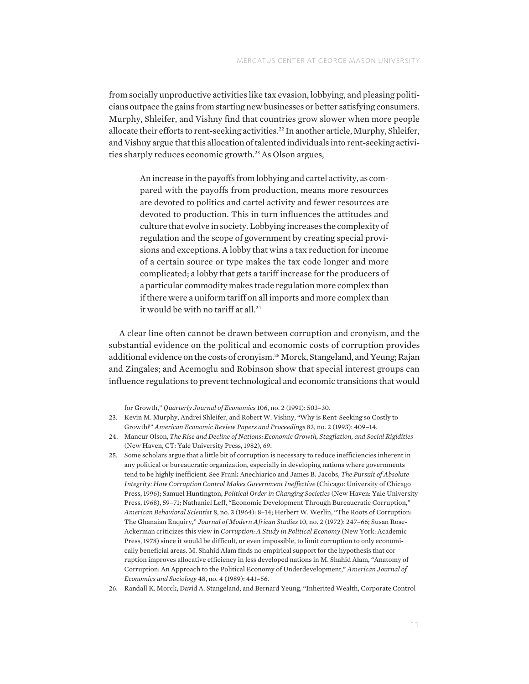from socially unproductive activities like tax evasion, lobbying, and pleasing politicians outpace the gains from starting new businesses or better satisfying consumers. Murphy, Shleifer, and Vishny find that countries grow slower when more people allocate their efforts to rent-seeking activities.<sup>22</sup> In another article, Murphy, Shleifer, and Vishny argue that this allocation of talented individuals into rent-seeking activities sharply reduces economic growth.<sup>23</sup> As Olson argues,

An increase in the payoffs from lobbying and cartel activity, as compared with the payoffs from production, means more resources are devoted to politics and cartel activity and fewer resources are devoted to production. This in turn influences the attitudes and culture that evolve in society. Lobbying increases the complexity of regulation and the scope of government by creating special provisions and exceptions. A lobby that wins a tax reduction for income of a certain source or type makes the tax code longer and more complicated; a lobby that gets a tariff increase for the producers of a particular commodity makes trade regulation more complex than if there were a uniform tariff on all imports and more complex than it would be with no tariff at all.<sup>24</sup>

A clear line often cannot be drawn between corruption and cronyism, and the substantial evidence on the political and economic costs of corruption provides additional evidence on the costs of cronyism.25 Morck, Stangeland, and Yeung; Rajan and Zingales; and Acemoglu and Robinson show that special interest groups can influence regulations to prevent technological and economic transitions that would

for Growth," *Quarterly Journal of Economics* 106, no. 2 (1991): 503–30.

- 23. Kevin M. Murphy, Andrei Shleifer, and Robert W. Vishny, "Why is Rent-Seeking so Costly to Growth?" *American Economic Review Papers and Proceedings* 83, no. 2 (1993): 409–14.
- 24. Mancur Olson, *The Rise and Decline of Nations: Economic Growth, Stagflation, and Social Rigidities* (New Haven, CT: Yale University Press, 1982), 69.
- 25. Some scholars argue that a little bit of corruption is necessary to reduce inefficiencies inherent in any political or bureaucratic organization, especially in developing nations where governments tend to be highly inefficient. See Frank Anechiarico and James B. Jacobs, *The Pursuit of Absolute Integrity: How Corruption Control Makes Government Ineffective* (Chicago: University of Chicago Press, 1996); Samuel Huntington, *Political Order in Changing Societies* (New Haven: Yale University Press, 1968), 59–71; Nathaniel Leff, "Economic Development Through Bureaucratic Corruption," *American Behavioral Scientist* 8, no. 3 (1964): 8–14; Herbert W. Werlin, "The Roots of Corruption: The Ghanaian Enquiry," *Journal of Modern African Studies* 10, no. 2 (1972): 247–66; Susan Rose-Ackerman criticizes this view in *Corruption: A Study in Political Economy* (New York: Academic Press, 1978) since it would be difficult, or even impossible, to limit corruption to only economically beneficial areas. M. Shahid Alam finds no empirical support for the hypothesis that corruption improves allocative efficiency in less developed nations in M. Shahid Alam, "Anatomy of Corruption: An Approach to the Political Economy of Underdevelopment," *American Journal of Economics and Sociology* 48, no. 4 (1989): 441–56.
- 26. Randall K. Morck, David A. Stangeland, and Bernard Yeung, "Inherited Wealth, Corporate Control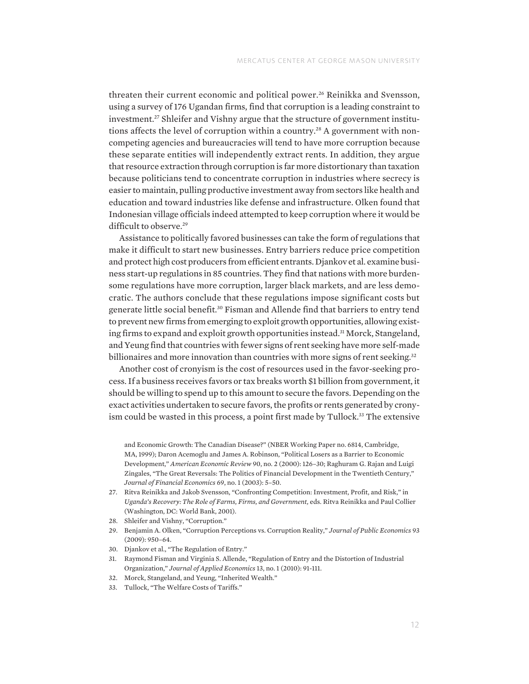threaten their current economic and political power.<sup>26</sup> Reinikka and Svensson, using a survey of 176 Ugandan firms, find that corruption is a leading constraint to investment.<sup>27</sup> Shleifer and Vishny argue that the structure of government institutions affects the level of corruption within a country.<sup>28</sup> A government with noncompeting agencies and bureaucracies will tend to have more corruption because these separate entities will independently extract rents. In addition, they argue that resource extraction through corruption is far more distortionary than taxation because politicians tend to concentrate corruption in industries where secrecy is easier to maintain, pulling productive investment away from sectors like health and education and toward industries like defense and infrastructure. Olken found that Indonesian village officials indeed attempted to keep corruption where it would be difficult to observe.<sup>29</sup>

Assistance to politically favored businesses can take the form of regulations that make it difficult to start new businesses. Entry barriers reduce price competition and protect high cost producers from efficient entrants. Djankov et al. examine business start-up regulations in 85 countries. They find that nations with more burdensome regulations have more corruption, larger black markets, and are less democratic. The authors conclude that these regulations impose significant costs but generate little social benefit.30 Fisman and Allende find that barriers to entry tend to prevent new firms from emerging to exploit growth opportunities, allowing existing firms to expand and exploit growth opportunities instead.31 Morck, Stangeland, and Yeung find that countries with fewer signs of rent seeking have more self-made billionaires and more innovation than countries with more signs of rent seeking.<sup>32</sup>

Another cost of cronyism is the cost of resources used in the favor-seeking process. If a business receives favors or tax breaks worth \$1 billion from government, it should be willing to spend up to this amount to secure the favors. Depending on the exact activities undertaken to secure favors, the profits or rents generated by cronyism could be wasted in this process, a point first made by Tullock.<sup>33</sup> The extensive

and Economic Growth: The Canadian Disease?" (NBER Working Paper no. 6814, Cambridge, MA, 1999); Daron Acemoglu and James A. Robinson, "Political Losers as a Barrier to Economic Development," *American Economic Review* 90, no. 2 (2000): 126–30; Raghuram G. Rajan and Luigi Zingales, "The Great Reversals: The Politics of Financial Development in the Twentieth Century," *Journal of Financial Economics* 69, no. 1 (2003): 5–50.

- 27. Ritva Reinikka and Jakob Svensson, "Confronting Competition: Investment, Profit, and Risk," in *Uganda's Recovery: The Role of Farms, Firms, and Government,* eds. Ritva Reinikka and Paul Collier (Washington, DC: World Bank, 2001).
- 28. Shleifer and Vishny, "Corruption."
- 29. Benjamin A. Olken, "Corruption Perceptions vs. Corruption Reality," *Journal of Public Economics* 93 (2009): 950–64.
- 30. Djankov et al., "The Regulation of Entry."
- 31. Raymond Fisman and Virginia S. Allende, "Regulation of Entry and the Distortion of Industrial Organization," *Journal of Applied Economics* 13, no. 1 (2010): 91-111.
- 32. Morck, Stangeland, and Yeung, "Inherited Wealth."
- 33. Tullock, "The Welfare Costs of Tariffs."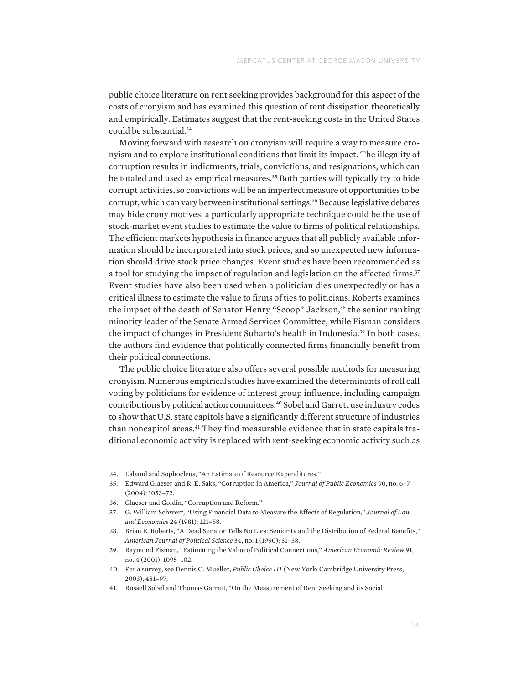public choice literature on rent seeking provides background for this aspect of the costs of cronyism and has examined this question of rent dissipation theoretically and empirically. Estimates suggest that the rent-seeking costs in the United States could be substantial.34

Moving forward with research on cronyism will require a way to measure cronyism and to explore institutional conditions that limit its impact. The illegality of corruption results in indictments, trials, convictions, and resignations, which can be totaled and used as empirical measures.<sup>35</sup> Both parties will typically try to hide corrupt activities, so convictions will be an imperfect measure of opportunities to be corrupt, which can vary between institutional settings.<sup>36</sup> Because legislative debates may hide crony motives, a particularly appropriate technique could be the use of stock-market event studies to estimate the value to firms of political relationships. The efficient markets hypothesis in finance argues that all publicly available information should be incorporated into stock prices, and so unexpected new information should drive stock price changes. Event studies have been recommended as a tool for studying the impact of regulation and legislation on the affected firms.<sup>37</sup> Event studies have also been used when a politician dies unexpectedly or has a critical illness to estimate the value to firms of ties to politicians. Roberts examines the impact of the death of Senator Henry "Scoop" Jackson,<sup>38</sup> the senior ranking minority leader of the Senate Armed Services Committee, while Fisman considers the impact of changes in President Suharto's health in Indonesia.39 In both cases, the authors find evidence that politically connected firms financially benefit from their political connections.

The public choice literature also offers several possible methods for measuring cronyism. Numerous empirical studies have examined the determinants of roll call voting by politicians for evidence of interest group influence, including campaign contributions by political action committees.40 Sobel and Garrett use industry codes to show that U.S. state capitols have a significantly different structure of industries than noncapitol areas.<sup>41</sup> They find measurable evidence that in state capitals traditional economic activity is replaced with rent-seeking economic activity such as

- 34. Laband and Sophocleus, "An Estimate of Resource Expenditures."
- 35. Edward Glaeser and R. E. Saks, "Corruption in America," *Journal of Public Economics* 90, no. 6–7 (2004): 1053–72.
- 36. Glaeser and Goldin, "Corruption and Reform."
- 37. G. William Schwert, "Using Financial Data to Measure the Effects of Regulation," *Journal of Law and Economics* 24 (1981): 121–58.
- 38. Brian E. Roberts, "A Dead Senator Tells No Lies: Seniority and the Distribution of Federal Benefits," *American Journal of Political Science* 34, no. 1 (1990): 31–58.
- 39. Raymond Fisman, "Estimating the Value of Political Connections," *American Economic Review* 91, no. 4 (2001): 1095–102.
- 40. For a survey, see Dennis C. Mueller, *Public Choice III* (New York: Cambridge University Press, 2003), 481–97.
- 41. Russell Sobel and Thomas Garrett, "On the Measurement of Rent Seeking and its Social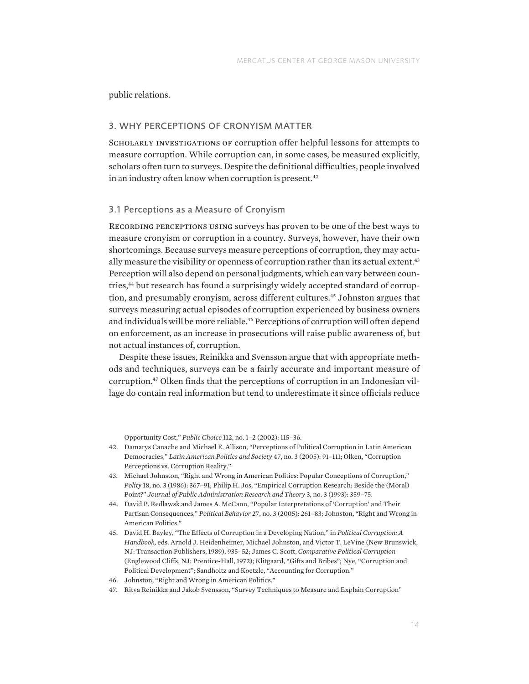public relations.

#### 3. WHY PERCEPTIONS OF CRONYISM MATTER

SCHOLARLY INVESTIGATIONS OF corruption offer helpful lessons for attempts to measure corruption. While corruption can, in some cases, be measured explicitly, scholars often turn to surveys. Despite the definitional difficulties, people involved in an industry often know when corruption is present.<sup>42</sup>

#### 3.1 Perceptions as a Measure of Cronyism

Recording perceptions using surveys has proven to be one of the best ways to measure cronyism or corruption in a country. Surveys, however, have their own shortcomings. Because surveys measure perceptions of corruption, they may actually measure the visibility or openness of corruption rather than its actual extent.<sup>43</sup> Perception will also depend on personal judgments, which can vary between countries,<sup>44</sup> but research has found a surprisingly widely accepted standard of corruption, and presumably cronyism, across different cultures.<sup>45</sup> Johnston argues that surveys measuring actual episodes of corruption experienced by business owners and individuals will be more reliable.<sup>46</sup> Perceptions of corruption will often depend on enforcement, as an increase in prosecutions will raise public awareness of, but not actual instances of, corruption.

Despite these issues, Reinikka and Svensson argue that with appropriate methods and techniques, surveys can be a fairly accurate and important measure of corruption.47 Olken finds that the perceptions of corruption in an Indonesian village do contain real information but tend to underestimate it since officials reduce

Opportunity Cost," *Public Choice* 112, no. 1–2 (2002): 115–36.

- 43. Michael Johnston, "Right and Wrong in American Politics: Popular Conceptions of Corruption," *Polity* 18, no. 3 (1986): 367–91; Philip H. Jos, "Empirical Corruption Research: Beside the (Moral) Point?" *Journal of Public Administration Research and Theory* 3, no. 3 (1993): 359–75.
- 44. David P. Redlawsk and James A. McCann, "Popular Interpretations of 'Corruption' and Their Partisan Consequences," *Political Behavior* 27, no. 3 (2005): 261–83; Johnston, "Right and Wrong in American Politics."
- 45. David H. Bayley, "The Effects of Corruption in a Developing Nation," in *Political Corruption: A Handbook,* eds. Arnold J. Heidenheimer, Michael Johnston, and Victor T. LeVine (New Brunswick, NJ: Transaction Publishers, 1989), 935–52; James C. Scott, *Comparative Political Corruption*  (Englewood Cliffs, NJ: Prentice-Hall, 1972); Klitgaard, "Gifts and Bribes"; Nye, "Corruption and Political Development"; Sandholtz and Koetzle, "Accounting for Corruption."
- 46. Johnston, "Right and Wrong in American Politics."
- 47. Ritva Reinikka and Jakob Svensson, "Survey Techniques to Measure and Explain Corruption"

<sup>42.</sup> Damarys Canache and Michael E. Allison, "Perceptions of Political Corruption in Latin American Democracies," *Latin American Politics and Society* 47, no. 3 (2005): 91–111; Olken, "Corruption Perceptions vs. Corruption Reality."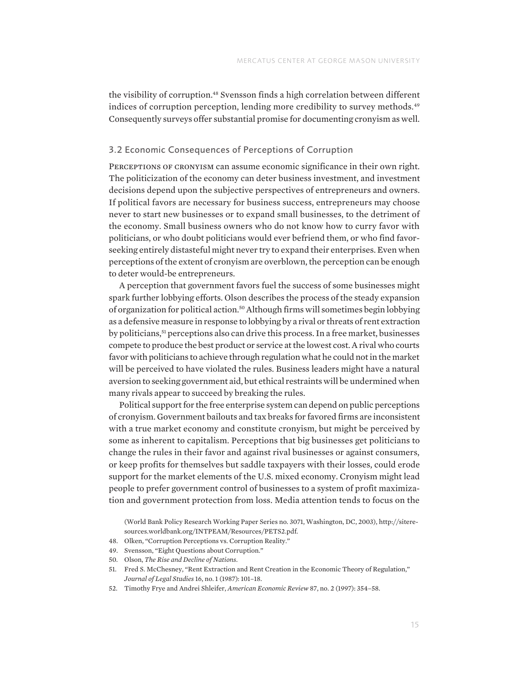the visibility of corruption.<sup>48</sup> Svensson finds a high correlation between different indices of corruption perception, lending more credibility to survey methods.<sup>49</sup> Consequently surveys offer substantial promise for documenting cronyism as well.

#### 3.2 Economic Consequences of Perceptions of Corruption

PERCEPTIONS OF CRONYISM can assume economic significance in their own right. The politicization of the economy can deter business investment, and investment decisions depend upon the subjective perspectives of entrepreneurs and owners. If political favors are necessary for business success, entrepreneurs may choose never to start new businesses or to expand small businesses, to the detriment of the economy. Small business owners who do not know how to curry favor with politicians, or who doubt politicians would ever befriend them, or who find favorseeking entirely distasteful might never try to expand their enterprises. Even when perceptions of the extent of cronyism are overblown, the perception can be enough to deter would-be entrepreneurs.

A perception that government favors fuel the success of some businesses might spark further lobbying efforts. Olson describes the process of the steady expansion of organization for political action.50 Although firms will sometimes begin lobbying as a defensive measure in response to lobbying by a rival or threats of rent extraction by politicians,<sup>51</sup> perceptions also can drive this process. In a free market, businesses compete to produce the best product or service at the lowest cost. A rival who courts favor with politicians to achieve through regulation what he could not in the market will be perceived to have violated the rules. Business leaders might have a natural aversion to seeking government aid, but ethical restraints will be undermined when many rivals appear to succeed by breaking the rules.

Political support for the free enterprise system can depend on public perceptions of cronyism. Government bailouts and tax breaks for favored firms are inconsistent with a true market economy and constitute cronyism, but might be perceived by some as inherent to capitalism. Perceptions that big businesses get politicians to change the rules in their favor and against rival businesses or against consumers, or keep profits for themselves but saddle taxpayers with their losses, could erode support for the market elements of the U.S. mixed economy. Cronyism might lead people to prefer government control of businesses to a system of profit maximization and government protection from loss. Media attention tends to focus on the

- 48. Olken, "Corruption Perceptions vs. Corruption Reality."
- 49. Svensson, "Eight Questions about Corruption."
- 50. Olson, *The Rise and Decline of Nations*.
- 51. Fred S. McChesney, "Rent Extraction and Rent Creation in the Economic Theory of Regulation," *Journal of Legal Studies* 16, no. 1 (1987): 101–18.
- 52. Timothy Frye and Andrei Shleifer, *American Economic Review* 87, no. 2 (1997): 354–58.

<sup>(</sup>World Bank Policy Research Working Paper Series no. 3071, Washington, DC, 2003), http://siteresources.worldbank.org/INTPEAM/Resources/PETS2.pdf.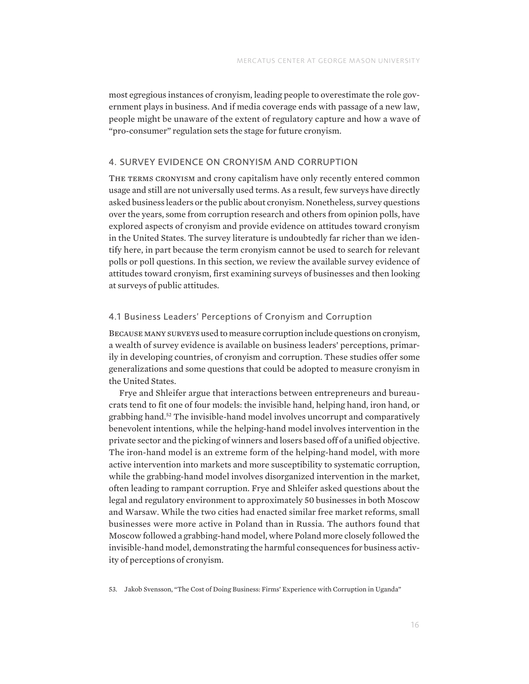most egregious instances of cronyism, leading people to overestimate the role government plays in business. And if media coverage ends with passage of a new law, people might be unaware of the extent of regulatory capture and how a wave of "pro-consumer" regulation sets the stage for future cronyism.

# 4. SURVEY EVIDENCE ON CRONYISM AND CORRUPTION

THE TERMS CRONYISM and crony capitalism have only recently entered common usage and still are not universally used terms. As a result, few surveys have directly asked business leaders or the public about cronyism. Nonetheless, survey questions over the years, some from corruption research and others from opinion polls, have explored aspects of cronyism and provide evidence on attitudes toward cronyism in the United States. The survey literature is undoubtedly far richer than we identify here, in part because the term cronyism cannot be used to search for relevant polls or poll questions. In this section, we review the available survey evidence of attitudes toward cronyism, first examining surveys of businesses and then looking at surveys of public attitudes.

# 4.1 Business Leaders' Perceptions of Cronyism and Corruption

Because many surveys used to measure corruption include questions on cronyism, a wealth of survey evidence is available on business leaders' perceptions, primarily in developing countries, of cronyism and corruption. These studies offer some generalizations and some questions that could be adopted to measure cronyism in the United States.

Frye and Shleifer argue that interactions between entrepreneurs and bureaucrats tend to fit one of four models: the invisible hand, helping hand, iron hand, or grabbing hand.52 The invisible-hand model involves uncorrupt and comparatively benevolent intentions, while the helping-hand model involves intervention in the private sector and the picking of winners and losers based off of a unified objective. The iron-hand model is an extreme form of the helping-hand model, with more active intervention into markets and more susceptibility to systematic corruption, while the grabbing-hand model involves disorganized intervention in the market, often leading to rampant corruption. Frye and Shleifer asked questions about the legal and regulatory environment to approximately 50 businesses in both Moscow and Warsaw. While the two cities had enacted similar free market reforms, small businesses were more active in Poland than in Russia. The authors found that Moscow followed a grabbing-hand model, where Poland more closely followed the invisible-hand model, demonstrating the harmful consequences for business activity of perceptions of cronyism.

<sup>53.</sup> Jakob Svensson, "The Cost of Doing Business: Firms' Experience with Corruption in Uganda"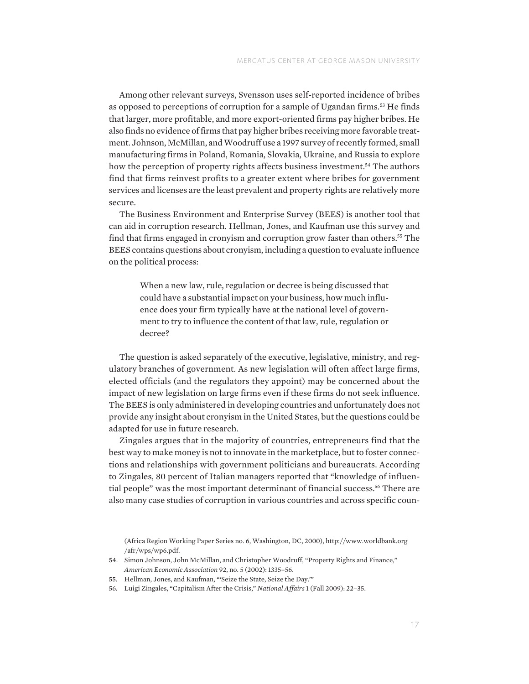Among other relevant surveys, Svensson uses self-reported incidence of bribes as opposed to perceptions of corruption for a sample of Ugandan firms.<sup>53</sup> He finds that larger, more profitable, and more export-oriented firms pay higher bribes. He also finds no evidence of firms that pay higher bribes receiving more favorable treatment. Johnson, McMillan, and Woodruff use a 1997 survey of recently formed, small manufacturing firms in Poland, Romania, Slovakia, Ukraine, and Russia to explore how the perception of property rights affects business investment.<sup>54</sup> The authors find that firms reinvest profits to a greater extent where bribes for government services and licenses are the least prevalent and property rights are relatively more secure.

The Business Environment and Enterprise Survey (BEES) is another tool that can aid in corruption research. Hellman, Jones, and Kaufman use this survey and find that firms engaged in cronyism and corruption grow faster than others.<sup>55</sup> The BEES contains questions about cronyism, including a question to evaluate influence on the political process:

When a new law, rule, regulation or decree is being discussed that could have a substantial impact on your business, how much influence does your firm typically have at the national level of government to try to influence the content of that law, rule, regulation or decree?

The question is asked separately of the executive, legislative, ministry, and regulatory branches of government. As new legislation will often affect large firms, elected officials (and the regulators they appoint) may be concerned about the impact of new legislation on large firms even if these firms do not seek influence. The BEES is only administered in developing countries and unfortunately does not provide any insight about cronyism in the United States, but the questions could be adapted for use in future research.

Zingales argues that in the majority of countries, entrepreneurs find that the best way to make money is not to innovate in the marketplace, but to foster connections and relationships with government politicians and bureaucrats. According to Zingales, 80 percent of Italian managers reported that "knowledge of influential people" was the most important determinant of financial success.56 There are also many case studies of corruption in various countries and across specific coun-

- 54. Simon Johnson, John McMillan, and Christopher Woodruff, "Property Rights and Finance," *American Economic Association* 92, no. 5 (2002): 1335–56.
- 55. Hellman, Jones, and Kaufman, "'Seize the State, Seize the Day.'"
- 56. Luigi Zingales, "Capitalism After the Crisis," *National Affairs* 1 (Fall 2009): 22–35.

<sup>(</sup>Africa Region Working Paper Series no. 6, Washington, DC, 2000), http://www.worldbank.org /afr/wps/wp6.pdf.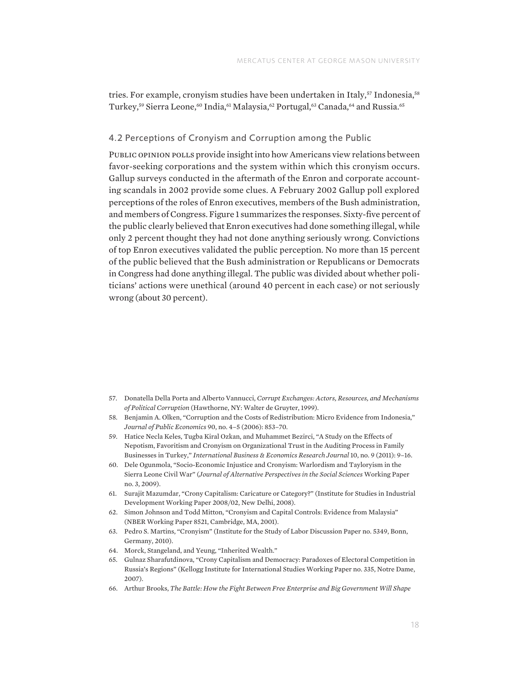tries. For example, cronyism studies have been undertaken in Italy,<sup>57</sup> Indonesia,<sup>58</sup> Turkey,<sup>59</sup> Sierra Leone,<sup>60</sup> India,<sup>61</sup> Malaysia,<sup>62</sup> Portugal,<sup>63</sup> Canada,<sup>64</sup> and Russia.<sup>65</sup>

# 4.2 Perceptions of Cronyism and Corruption among the Public

Public opinion polls provide insight into how Americans view relations between favor-seeking corporations and the system within which this cronyism occurs. Gallup surveys conducted in the aftermath of the Enron and corporate accounting scandals in 2002 provide some clues. A February 2002 Gallup poll explored perceptions of the roles of Enron executives, members of the Bush administration, and members of Congress. Figure 1 summarizes the responses. Sixty-five percent of the public clearly believed that Enron executives had done something illegal, while only 2 percent thought they had not done anything seriously wrong. Convictions of top Enron executives validated the public perception. No more than 15 percent of the public believed that the Bush administration or Republicans or Democrats in Congress had done anything illegal. The public was divided about whether politicians' actions were unethical (around 40 percent in each case) or not seriously wrong (about 30 percent).

- 57. Donatella Della Porta and Alberto Vannucci, *Corrupt Exchanges: Actors, Resources, and Mechanisms of Political Corruption* (Hawthorne, NY: Walter de Gruyter, 1999).
- 58. Benjamin A. Olken, "Corruption and the Costs of Redistribution: Micro Evidence from Indonesia," *Journal of Public Economics* 90, no. 4–5 (2006): 853–70.
- 59. Hatice Necla Keles, Tugba Kiral Ozkan, and Muhammet Bezirci, "A Study on the Effects of Nepotism, Favoritism and Cronyism on Organizational Trust in the Auditing Process in Family Businesses in Turkey," *International Business & Economics Research Journal* 10, no. 9 (2011): 9–16.
- 60. Dele Ogunmola, "Socio-Economic Injustice and Cronyism: Warlordism and Tayloryism in the Sierra Leone Civil War" (*Journal of Alternative Perspectives in the Social Sciences* Working Paper no. 3, 2009).
- 61. Surajit Mazumdar, "Crony Capitalism: Caricature or Category?" (Institute for Studies in Industrial Development Working Paper 2008/02, New Delhi, 2008).
- 62. Simon Johnson and Todd Mitton, "Cronyism and Capital Controls: Evidence from Malaysia" (NBER Working Paper 8521, Cambridge, MA, 2001).
- 63. Pedro S. Martins, "Cronyism" (Institute for the Study of Labor Discussion Paper no. 5349, Bonn, Germany, 2010).
- 64. Morck, Stangeland, and Yeung, "Inherited Wealth."
- 65. Gulnaz Sharafutdinova, "Crony Capitalism and Democracy: Paradoxes of Electoral Competition in Russia's Regions" (Kellogg Institute for International Studies Working Paper no. 335, Notre Dame, 2007).
- 66. Arthur Brooks, *The Battle: How the Fight Between Free Enterprise and Big Government Will Shape*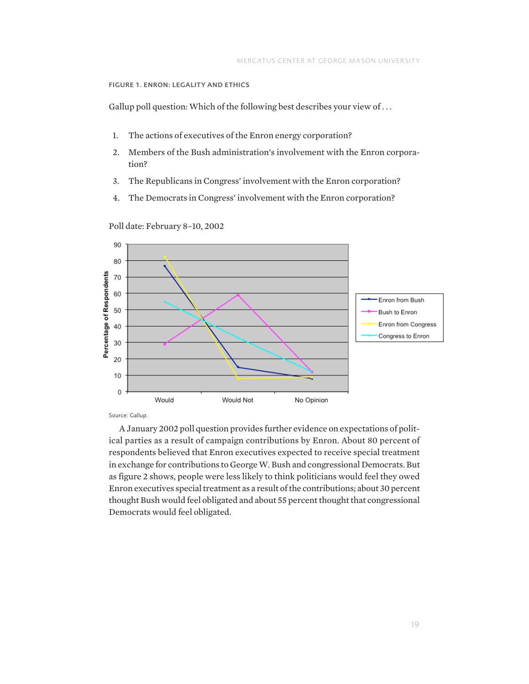#### FIGURE 1. ENRON: LEGALITY AND ETHICS

Gallup poll question: Which of the following best describes your view of . . .

- 1. The actions of executives of the Enron energy corporation?
- 2. Members of the Bush administration's involvement with the Enron corporation?
- 3. The Republicans in Congress' involvement with the Enron corporation?
- 4. The Democrats in Congress' involvement with the Enron corporation?





Source: Gallup.

A January 2002 poll question provides further evidence on expectations of political parties as a result of campaign contributions by Enron. About 80 percent of respondents believed that Enron executives expected to receive special treatment in exchange for contributions to George W. Bush and congressional Democrats. But as figure 2 shows, people were less likely to think politicians would feel they owed Enron executives special treatment as a result of the contributions; about 30 percent thought Bush would feel obligated and about 55 percent thought that congressional Democrats would feel obligated.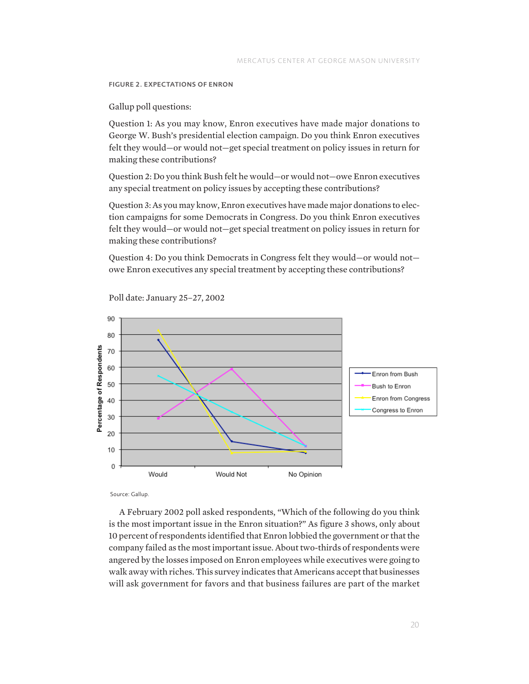#### FIGURE 2. EXPECTATIONS OF ENRON

Gallup poll questions:

Question 1: As you may know, Enron executives have made major donations to George W. Bush's presidential election campaign. Do you think Enron executives felt they would—or would not—get special treatment on policy issues in return for making these contributions?

Question 2: Do you think Bush felt he would—or would not—owe Enron executives any special treatment on policy issues by accepting these contributions?

Question 3: As you may know, Enron executives have made major donations to election campaigns for some Democrats in Congress. Do you think Enron executives felt they would—or would not—get special treatment on policy issues in return for making these contributions?

Question 4: Do you think Democrats in Congress felt they would—or would not owe Enron executives any special treatment by accepting these contributions?



Poll date: January 25–27, 2002

Source: Gallup.

A February 2002 poll asked respondents, "Which of the following do you think is the most important issue in the Enron situation?" As figure 3 shows, only about 10 percent of respondents identified that Enron lobbied the government or that the company failed as the most important issue. About two-thirds of respondents were angered by the losses imposed on Enron employees while executives were going to walk away with riches. This survey indicates that Americans accept that businesses will ask government for favors and that business failures are part of the market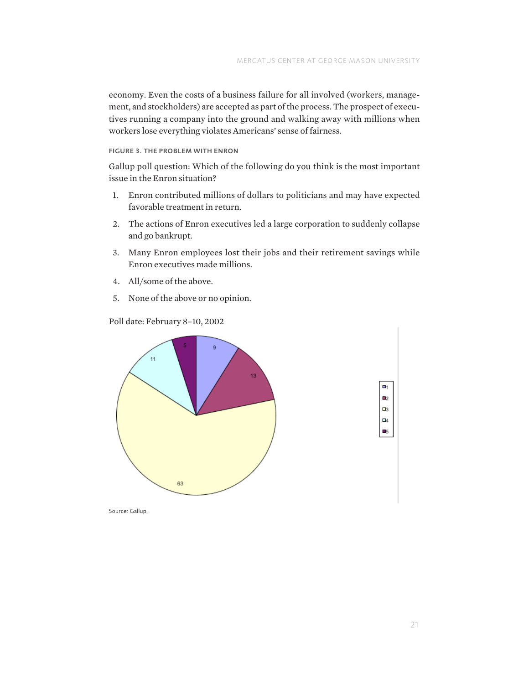economy. Even the costs of a business failure for all involved (workers, management, and stockholders) are accepted as part of the process. The prospect of executives running a company into the ground and walking away with millions when workers lose everything violates Americans' sense of fairness.

FIGURE 3. THE PROBLEM WITH ENRON

Gallup poll question: Which of the following do you think is the most important issue in the Enron situation?

- 1. Enron contributed millions of dollars to politicians and may have expected favorable treatment in return.
- 2. The actions of Enron executives led a large corporation to suddenly collapse and go bankrupt.
- 3. Many Enron employees lost their jobs and their retirement savings while Enron executives made millions.
- 4. All/some of the above.
- 5. None of the above or no opinion.

Poll date: February 8–10, 2002



Source: Gallup.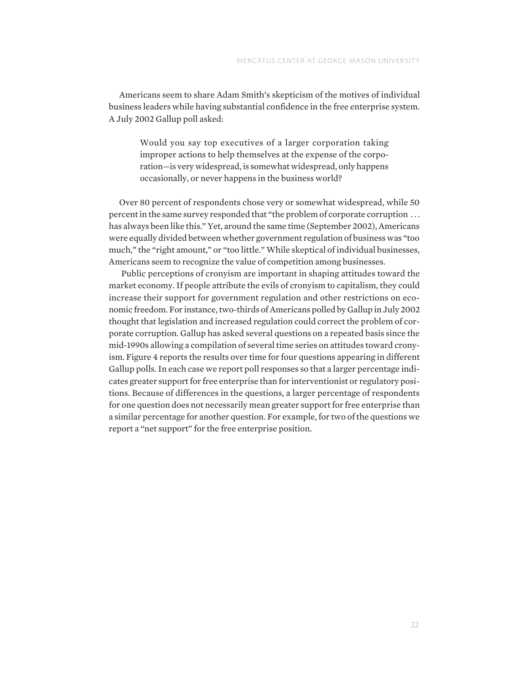Americans seem to share Adam Smith's skepticism of the motives of individual business leaders while having substantial confidence in the free enterprise system. A July 2002 Gallup poll asked:

> Would you say top executives of a larger corporation taking improper actions to help themselves at the expense of the corporation—is very widespread, is somewhat widespread, only happens occasionally, or never happens in the business world?

Over 80 percent of respondents chose very or somewhat widespread, while 50 percent in the same survey responded that "the problem of corporate corruption . . . has always been like this." Yet, around the same time (September 2002), Americans were equally divided between whether government regulation of business was "too much," the "right amount," or "too little." While skeptical of individual businesses, Americans seem to recognize the value of competition among businesses.

 Public perceptions of cronyism are important in shaping attitudes toward the market economy. If people attribute the evils of cronyism to capitalism, they could increase their support for government regulation and other restrictions on economic freedom. For instance, two-thirds of Americans polled by Gallup in July 2002 thought that legislation and increased regulation could correct the problem of corporate corruption. Gallup has asked several questions on a repeated basis since the mid-1990s allowing a compilation of several time series on attitudes toward cronyism. Figure 4 reports the results over time for four questions appearing in different Gallup polls. In each case we report poll responses so that a larger percentage indicates greater support for free enterprise than for interventionist or regulatory positions. Because of differences in the questions, a larger percentage of respondents for one question does not necessarily mean greater support for free enterprise than a similar percentage for another question. For example, for two of the questions we report a "net support" for the free enterprise position.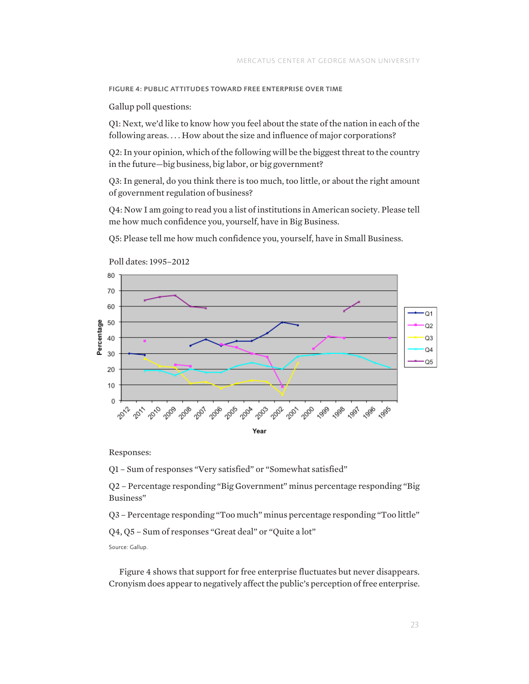FIGURE 4: PUBLIC ATTITUDES TOWARD FREE ENTERPRISE OVER TIME

Gallup poll questions:

Q1: Next, we'd like to know how you feel about the state of the nation in each of the following areas.... How about the size and influence of major corporations?

Q2: In your opinion, which of the following will be the biggest threat to the country in the future—big business, big labor, or big government?

Q3: In general, do you think there is too much, too little, or about the right amount of government regulation of business?

Q4: Now I am going to read you a list of institutions in American society. Please tell me how much confidence you, yourself, have in Big Business.

Q5: Please tell me how much confidence you, yourself, have in Small Business.



Poll dates: 1995–2012

Responses:

Q1 – Sum of responses "Very satisfied" or "Somewhat satisfied"

Q2 – Percentage responding "Big Government" minus percentage responding "Big Business"

Q3 – Percentage responding "Too much" minus percentage responding "Too little"

Q4, Q5 – Sum of responses "Great deal" or "Quite a lot"

Source: Gallup.

Figure 4 shows that support for free enterprise fluctuates but never disappears. Cronyism does appear to negatively affect the public's perception of free enterprise.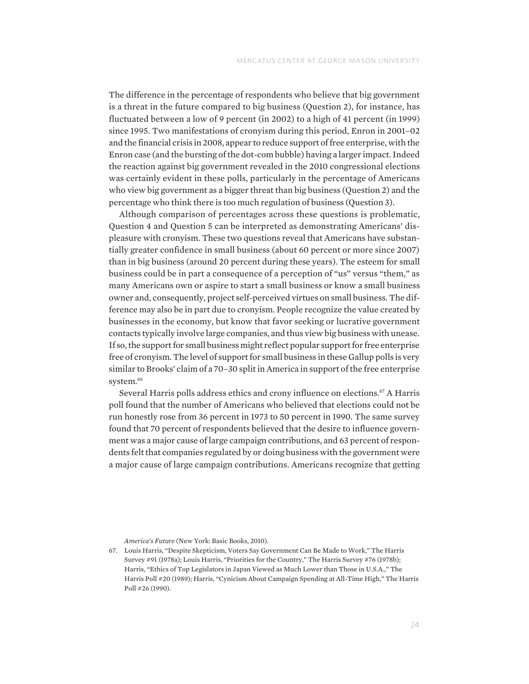The difference in the percentage of respondents who believe that big government is a threat in the future compared to big business (Question 2), for instance, has fluctuated between a low of 9 percent (in 2002) to a high of 41 percent (in 1999) since 1995. Two manifestations of cronyism during this period, Enron in 2001–02 and the financial crisis in 2008, appear to reduce support of free enterprise, with the Enron case (and the bursting of the dot-com bubble) having a larger impact. Indeed the reaction against big government revealed in the 2010 congressional elections was certainly evident in these polls, particularly in the percentage of Americans who view big government as a bigger threat than big business (Question 2) and the percentage who think there is too much regulation of business (Question 3).

Although comparison of percentages across these questions is problematic, Question 4 and Question 5 can be interpreted as demonstrating Americans' displeasure with cronyism. These two questions reveal that Americans have substantially greater confidence in small business (about 60 percent or more since 2007) than in big business (around 20 percent during these years). The esteem for small business could be in part a consequence of a perception of "us" versus "them," as many Americans own or aspire to start a small business or know a small business owner and, consequently, project self-perceived virtues on small business. The difference may also be in part due to cronyism. People recognize the value created by businesses in the economy, but know that favor seeking or lucrative government contacts typically involve large companies, and thus view big business with unease. If so, the support for small business might reflect popular support for free enterprise free of cronyism. The level of support for small business in these Gallup polls is very similar to Brooks' claim of a 70–30 split in America in support of the free enterprise system.<sup>66</sup>

Several Harris polls address ethics and crony influence on elections.<sup>67</sup> A Harris poll found that the number of Americans who believed that elections could not be run honestly rose from 36 percent in 1973 to 50 percent in 1990. The same survey found that 70 percent of respondents believed that the desire to influence government was a major cause of large campaign contributions, and 63 percent of respondents felt that companies regulated by or doing business with the government were a major cause of large campaign contributions. Americans recognize that getting

*America's Future* (New York: Basic Books, 2010).

<sup>67.</sup> Louis Harris, "Despite Skepticism, Voters Say Government Can Be Made to Work," The Harris Survey #91 (1978a); Louis Harris, "Priorities for the Country," The Harris Survey #76 (1978b); Harris, "Ethics of Top Legislators in Japan Viewed as Much Lower than Those in U.S.A.," The Harris Poll #20 (1989); Harris, "Cynicism About Campaign Spending at All-Time High," The Harris Poll #26 (1990).